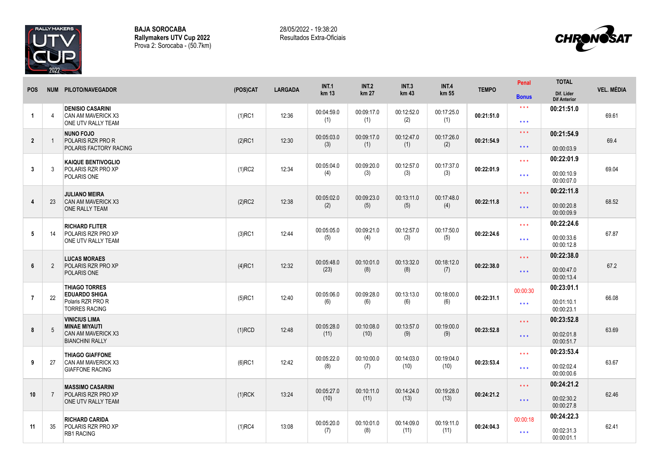

**BAJA SOROCABA Rallymakers UTV Cup 2022** Prova 2: Sorocaba - (50.7km) 28/05/2022 - 19:38:20 Resultados Extra-Oficiais



| <b>POS</b>     |                | NUM PILOTO/NAVEGADOR                                                                         | (POS)CAT  | <b>LARGADA</b> | <b>INT.1</b><br>km 13 | <b>INT.2</b><br>km 27 | <b>INT.3</b><br>km 43 | <b>INT.4</b><br>km 55 | <b>TEMPO</b> | Penal                                    | <b>TOTAL</b>                           | <b>VEL. MÉDIA</b> |
|----------------|----------------|----------------------------------------------------------------------------------------------|-----------|----------------|-----------------------|-----------------------|-----------------------|-----------------------|--------------|------------------------------------------|----------------------------------------|-------------------|
|                |                |                                                                                              |           |                |                       |                       |                       |                       |              | <b>Bonus</b>                             | Dif. Lider<br><b>Dif Anterior</b>      |                   |
| $\overline{1}$ | $\overline{4}$ | <b>DENISIO CASARINI</b><br>CAN AM MAVERICK X3<br>ONE UTV RALLY TEAM                          | $(1)$ RC1 | 12:36          | 00:04:59.0<br>(1)     | 00:09:17.0<br>(1)     | 00:12:52.0<br>(2)     | 00:17:25.0<br>(1)     | 00:21:51.0   | $\star\star\star$<br>$\star\star\star$   | 00:21:51.0                             | 69.61             |
| $\overline{2}$ |                | <b>NUNO FOJO</b><br>POLARIS RZR PRO R<br>POLARIS FACTORY RACING                              | $(2)$ RC1 | 12:30          | 00:05:03.0<br>(3)     | 00:09:17.0<br>(1)     | 00:12:47.0<br>(1)     | 00:17:26.0<br>(2)     | 00:21:54.9   | $\star\star\star$<br>$\star\star\star$   | 00:21:54.9<br>00:00:03.9               | 69.4              |
| $\mathbf{3}$   | 3              | <b>KAIQUE BENTIVOGLIO</b><br>POLARIS RZR PRO XP<br>POLARIS ONE                               | $(1)$ RC2 | 12:34          | 00:05:04.0<br>(4)     | 00:09:20.0<br>(3)     | 00:12:57.0<br>(3)     | 00:17:37.0<br>(3)     | 00:22:01.9   | $***$<br>$\star\star\star$               | 00:22:01.9<br>00:00:10.9<br>00:00:07.0 | 69.04             |
| $\overline{4}$ | 23             | <b>JULIANO MEIRA</b><br>CAN AM MAVERICK X3<br>ONE RALLY TEAM                                 | $(2)$ RC2 | 12:38          | 00:05:02.0<br>(2)     | 00:09:23.0<br>(5)     | 00:13:11.0<br>(5)     | 00:17:48.0<br>(4)     | 00:22:11.8   | $\star \star \star$<br>$\star\star\star$ | 00:22:11.8<br>00:00:20.8<br>00:00:09.9 | 68.52             |
| 5              | 14             | <b>RICHARD FLITER</b><br>POLARIS RZR PRO XP<br>ONE UTV RALLY TEAM                            | $(3)$ RC1 | 12:44          | 00:05:05.0<br>(5)     | 00:09:21.0<br>(4)     | 00:12:57.0<br>(3)     | 00:17:50.0<br>(5)     | 00:22:24.6   | $\star\star\star$<br>$***$               | 00:22:24.6<br>00:00:33.6<br>00:00:12.8 | 67.87             |
| 6              | 2              | <b>LUCAS MORAES</b><br>POLARIS RZR PRO XP<br>POLARIS ONE                                     | $(4)$ RC1 | 12:32          | 00:05:48.0<br>(23)    | 00:10:01.0<br>(8)     | 00:13:32.0<br>(8)     | 00:18:12.0<br>(7)     | 00:22:38.0   | $\star \star \star$<br>$\star\star\star$ | 00:22:38.0<br>00:00:47.0<br>00:00:13.4 | 67.2              |
| $\overline{7}$ | 22             | <b>THIAGO TORRES</b><br><b>EDUARDO SHIGA</b><br>Polaris RZR PRO R<br><b>TORRES RACING</b>    | $(5)$ RC1 | 12:40          | 00:05:06.0<br>(6)     | 00:09:28.0<br>(6)     | 00:13:13.0<br>(6)     | 00:18:00.0<br>(6)     | 00:22:31.1   | 00:00:30<br>$\star\star\star$            | 00:23:01.1<br>00:01:10.1<br>00:00:23.1 | 66.08             |
| 8              | 5              | <b>VINICIUS LIMA</b><br><b>MINAE MIYAUTI</b><br>CAN AM MAVERICK X3<br><b>BIANCHINI RALLY</b> | $(1)$ RCD | 12:48          | 00:05:28.0<br>(11)    | 00:10:08.0<br>(10)    | 00:13:57.0<br>(9)     | 00:19:00.0<br>(9)     | 00:23:52.8   | $\star\star\star$<br>$***$               | 00:23:52.8<br>00:02:01.8<br>00:00:51.7 | 63.69             |
| 9              | 27             | <b>THIAGO GIAFFONE</b><br>CAN AM MAVERICK X3<br><b>GIAFFONE RACING</b>                       | $(6)$ RC1 | 12:42          | 00:05:22.0<br>(8)     | 00:10:00.0<br>(7)     | 00:14:03.0<br>(10)    | 00:19:04.0<br>(10)    | 00:23:53.4   | $\star \star \star$<br>$\star\star\star$ | 00:23:53.4<br>00:02:02.4<br>00:00:00.6 | 63.67             |
| 10             | -7             | <b>MASSIMO CASARINI</b>                                                                      |           | 13:24          | 00:05:27.0            | 00:10:11.0            | 00:14:24.0            | 00:19:28.0            | 00:24:21.2   | $\star\star\star$                        | 00:24:21.2                             | 62.46             |
|                |                | POLARIS RZR PRO XP<br>ONE UTV RALLY TEAM                                                     | $(1)$ RCK |                | (10)                  | (11)                  | (13)                  | (13)                  |              | $\star\star\star$                        | 00:02:30.2<br>00:00:27.8               |                   |
|                |                | <b>RICHARD CARIDA</b><br>POLARIS RZR PRO XP<br><b>RB1 RACING</b>                             | $(1)$ RC4 | 13:08          | 00:05:20.0            | 00:10:01.0<br>(8)     | 00:14:09.0<br>(11)    | 00:19:11.0<br>(11)    | 00:24:04.3   | 00:00:18                                 | 00:24:22.3                             |                   |
| 11             | 35             |                                                                                              |           |                | (7)                   |                       |                       |                       |              | $***$                                    | 00:02:31.3<br>00:00:01.1               | 62.41             |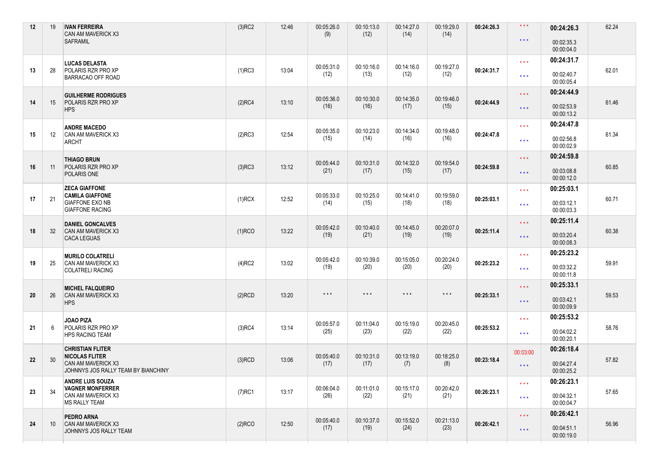| 00:00:04.0<br>00:24:31.7<br>$\star\star\star$<br><b>LUCAS DELASTA</b><br>00:05:31.0<br>00:10:16.0<br>00:14:16.0<br>00:19:27.0<br>13<br>28<br>POLARIS RZR PRO XP<br>$(1)$ RC3<br>13:04<br>00:24:31.7<br>(12)<br>(13)<br>(12)<br>(12)<br>00:02:40.7<br>$***$<br>BARRACAO OFF ROAD<br>00:00:05.4<br>00:24:44.9<br>$\star\star\star$<br><b>GUILHERME RODRIGUES</b><br>00:05:36.0<br>00:10:30.0<br>00:19:46.0<br>00:14:35.0<br>14<br>POLARIS RZR PRO XP<br>00:24:44.9<br>15<br>$(2)$ RC4<br>13:10<br>(16)<br>(16)<br>(17)<br>(15)<br>00:02:53.9<br>$***$<br><b>HPS</b><br>00:00:13.2<br>00:24:47.8<br>$\star\star\star$<br><b>ANDRE MACEDO</b><br>00:10:23.0<br>00:14:34.0<br>00:19:48.0<br>00:05:35.0<br>12:54<br>15<br>12<br>CAN AM MAVERICK X3<br>$(2)$ RC3<br>00:24:47.8<br>(15)<br>(14)<br>(16)<br>(16)<br>00:02:56.8<br>$***$<br>ARCHT<br>00:00:02.9<br>00:24:59.8<br>$***$<br><b>THIAGO BRUN</b><br>00:05:44.0<br>00:10:31.0<br>00:14:32.0<br>00:19:54.0<br>16<br>$(3)$ RC3<br>13:12<br>00:24:59.8<br>POLARIS RZR PRO XP<br>11<br>(21)<br>(17)<br>(15)<br>(17)<br>00:03:08.8<br>$\star\star\star$<br>POLARIS ONE<br>00:00:12.0<br><b>ZECA GIAFFONE</b><br>00:25:03.1<br>$\star\star\star$<br><b>CAMILA GIAFFONE</b><br>00:05:33.0<br>00:10:25.0<br>00:14:41.0<br>00:19:59.0<br>17<br>21<br>$(1)$ RCX<br>12:52<br>00:25:03.1<br><b>GIAFFONE EXO NB</b><br>(14)<br>(15)<br>(18)<br>(18)<br>00:03:12.1<br>$\star\star\star$<br><b>GIAFFONE RACING</b><br>00:00:03.3<br>00:25:11.4<br>$\star\star\star$<br><b>DANIEL GONCALVES</b><br>00:20:07.0<br>00:05:42.0<br>00:10:40.0<br>00:14:45.0<br>18<br>32<br>CAN AM MAVERICK X3<br>13:22<br>00:25:11.4<br>$(1)$ RCO<br>(19)<br>(19)<br>(21)<br>(19)<br>00:03:20.4<br>$\star\star\star$<br><b>CACA LEGUAS</b><br>00:00:08.3 |       |
|-----------------------------------------------------------------------------------------------------------------------------------------------------------------------------------------------------------------------------------------------------------------------------------------------------------------------------------------------------------------------------------------------------------------------------------------------------------------------------------------------------------------------------------------------------------------------------------------------------------------------------------------------------------------------------------------------------------------------------------------------------------------------------------------------------------------------------------------------------------------------------------------------------------------------------------------------------------------------------------------------------------------------------------------------------------------------------------------------------------------------------------------------------------------------------------------------------------------------------------------------------------------------------------------------------------------------------------------------------------------------------------------------------------------------------------------------------------------------------------------------------------------------------------------------------------------------------------------------------------------------------------------------------------------------------------------------------------------------------------------------------------------------|-------|
|                                                                                                                                                                                                                                                                                                                                                                                                                                                                                                                                                                                                                                                                                                                                                                                                                                                                                                                                                                                                                                                                                                                                                                                                                                                                                                                                                                                                                                                                                                                                                                                                                                                                                                                                                                       |       |
|                                                                                                                                                                                                                                                                                                                                                                                                                                                                                                                                                                                                                                                                                                                                                                                                                                                                                                                                                                                                                                                                                                                                                                                                                                                                                                                                                                                                                                                                                                                                                                                                                                                                                                                                                                       | 62.01 |
|                                                                                                                                                                                                                                                                                                                                                                                                                                                                                                                                                                                                                                                                                                                                                                                                                                                                                                                                                                                                                                                                                                                                                                                                                                                                                                                                                                                                                                                                                                                                                                                                                                                                                                                                                                       |       |
|                                                                                                                                                                                                                                                                                                                                                                                                                                                                                                                                                                                                                                                                                                                                                                                                                                                                                                                                                                                                                                                                                                                                                                                                                                                                                                                                                                                                                                                                                                                                                                                                                                                                                                                                                                       | 61.46 |
|                                                                                                                                                                                                                                                                                                                                                                                                                                                                                                                                                                                                                                                                                                                                                                                                                                                                                                                                                                                                                                                                                                                                                                                                                                                                                                                                                                                                                                                                                                                                                                                                                                                                                                                                                                       |       |
|                                                                                                                                                                                                                                                                                                                                                                                                                                                                                                                                                                                                                                                                                                                                                                                                                                                                                                                                                                                                                                                                                                                                                                                                                                                                                                                                                                                                                                                                                                                                                                                                                                                                                                                                                                       | 61.34 |
|                                                                                                                                                                                                                                                                                                                                                                                                                                                                                                                                                                                                                                                                                                                                                                                                                                                                                                                                                                                                                                                                                                                                                                                                                                                                                                                                                                                                                                                                                                                                                                                                                                                                                                                                                                       |       |
|                                                                                                                                                                                                                                                                                                                                                                                                                                                                                                                                                                                                                                                                                                                                                                                                                                                                                                                                                                                                                                                                                                                                                                                                                                                                                                                                                                                                                                                                                                                                                                                                                                                                                                                                                                       | 60.85 |
|                                                                                                                                                                                                                                                                                                                                                                                                                                                                                                                                                                                                                                                                                                                                                                                                                                                                                                                                                                                                                                                                                                                                                                                                                                                                                                                                                                                                                                                                                                                                                                                                                                                                                                                                                                       |       |
|                                                                                                                                                                                                                                                                                                                                                                                                                                                                                                                                                                                                                                                                                                                                                                                                                                                                                                                                                                                                                                                                                                                                                                                                                                                                                                                                                                                                                                                                                                                                                                                                                                                                                                                                                                       | 60.71 |
|                                                                                                                                                                                                                                                                                                                                                                                                                                                                                                                                                                                                                                                                                                                                                                                                                                                                                                                                                                                                                                                                                                                                                                                                                                                                                                                                                                                                                                                                                                                                                                                                                                                                                                                                                                       |       |
|                                                                                                                                                                                                                                                                                                                                                                                                                                                                                                                                                                                                                                                                                                                                                                                                                                                                                                                                                                                                                                                                                                                                                                                                                                                                                                                                                                                                                                                                                                                                                                                                                                                                                                                                                                       | 60.38 |
| 00:25:23.2<br>$***$<br><b>MURILO COLATRELI</b><br>00:20:24.0                                                                                                                                                                                                                                                                                                                                                                                                                                                                                                                                                                                                                                                                                                                                                                                                                                                                                                                                                                                                                                                                                                                                                                                                                                                                                                                                                                                                                                                                                                                                                                                                                                                                                                          |       |
| 00:05:42.0<br>00:10:39.0<br>00:15:05.0<br>19<br><b>CAN AM MAVERICK X3</b><br>13:02<br>00:25:23.2<br>25<br>$(4)$ RC2<br>(19)<br>(20)<br>(20)<br>(20)<br>00:03:32.2<br>$\star\star\star$<br><b>COLATRELI RACING</b><br>00:00:11.8                                                                                                                                                                                                                                                                                                                                                                                                                                                                                                                                                                                                                                                                                                                                                                                                                                                                                                                                                                                                                                                                                                                                                                                                                                                                                                                                                                                                                                                                                                                                       | 59.91 |
| 00:25:33.1<br>$\star\star\star$<br><b>MICHEL FALQUEIRO</b>                                                                                                                                                                                                                                                                                                                                                                                                                                                                                                                                                                                                                                                                                                                                                                                                                                                                                                                                                                                                                                                                                                                                                                                                                                                                                                                                                                                                                                                                                                                                                                                                                                                                                                            |       |
| $\star$ $\star$ $\star$<br>$\star$ $\star$ $\star$<br>$\star$ $\star$ $\star$<br>$\star$ $\star$ $\star$<br>20<br>26<br>$(2)$ RCD<br>13:20<br>00:25:33.1<br>CAN AM MAVERICK X3<br>00:03:42.1<br>$***$<br><b>HPS</b><br>00:00:09.9                                                                                                                                                                                                                                                                                                                                                                                                                                                                                                                                                                                                                                                                                                                                                                                                                                                                                                                                                                                                                                                                                                                                                                                                                                                                                                                                                                                                                                                                                                                                     | 59.53 |
| 00:25:53.2<br>$***$<br>JOAO PIZA                                                                                                                                                                                                                                                                                                                                                                                                                                                                                                                                                                                                                                                                                                                                                                                                                                                                                                                                                                                                                                                                                                                                                                                                                                                                                                                                                                                                                                                                                                                                                                                                                                                                                                                                      |       |
| 00:11:04.0<br>00:15:19.0<br>00:20:45.0<br>00:05:57.0<br>21<br>POLARIS RZR PRO XP<br>13:14<br>6<br>$(3)$ RC4<br>00:25:53.2<br>(25)<br>(23)<br>(22)<br>(22)<br>00:04:02.2<br>$\star\star\star$<br><b>HPS RACING TEAM</b><br>00:00:20.1                                                                                                                                                                                                                                                                                                                                                                                                                                                                                                                                                                                                                                                                                                                                                                                                                                                                                                                                                                                                                                                                                                                                                                                                                                                                                                                                                                                                                                                                                                                                  | 58.76 |
| <b>CHRISTIAN FLITER</b><br>00:26:18.4<br>00:03:00                                                                                                                                                                                                                                                                                                                                                                                                                                                                                                                                                                                                                                                                                                                                                                                                                                                                                                                                                                                                                                                                                                                                                                                                                                                                                                                                                                                                                                                                                                                                                                                                                                                                                                                     |       |
| 00:05:40.0<br>00:13:19.0<br>00:18:25.0<br><b>NICOLAS FLITER</b><br>00:10:31.0<br>22<br>30<br>$(3)$ RCD<br>13:06<br>00:23:18.4<br>CAN AM MAVERICK X3<br>(17)<br>(17)<br>(7)<br>(8)<br>00:04:27.4                                                                                                                                                                                                                                                                                                                                                                                                                                                                                                                                                                                                                                                                                                                                                                                                                                                                                                                                                                                                                                                                                                                                                                                                                                                                                                                                                                                                                                                                                                                                                                       | 57.82 |
| $***$<br>JOHNNYS JOS RALLY TEAM BY BIANCHINY<br>00:00:25.2                                                                                                                                                                                                                                                                                                                                                                                                                                                                                                                                                                                                                                                                                                                                                                                                                                                                                                                                                                                                                                                                                                                                                                                                                                                                                                                                                                                                                                                                                                                                                                                                                                                                                                            |       |
| <b>ANDRE LUIS SOUZA</b><br>00:26:23.1<br>$\star\star\star$<br><b>VAGNER MONFERRER</b><br>00:06:04.0<br>00:11:01.0<br>00:15:17.0<br>00:20:42.0                                                                                                                                                                                                                                                                                                                                                                                                                                                                                                                                                                                                                                                                                                                                                                                                                                                                                                                                                                                                                                                                                                                                                                                                                                                                                                                                                                                                                                                                                                                                                                                                                         |       |
| 23<br>34<br>13:17<br>$(7)$ RC1<br>00:26:23.1<br>CAN AM MAVERICK X3<br>(26)<br>(22)<br>(21)<br>(21)<br>00:04:32.1<br>$\star$ $\star$ $\star$<br><b>MS RALLY TEAM</b><br>00:00:04.7                                                                                                                                                                                                                                                                                                                                                                                                                                                                                                                                                                                                                                                                                                                                                                                                                                                                                                                                                                                                                                                                                                                                                                                                                                                                                                                                                                                                                                                                                                                                                                                     | 57.65 |
| 00:26:42.1<br>$\star$ $\star$ $\star$<br>PEDRO ARNA<br>00:10:37.0                                                                                                                                                                                                                                                                                                                                                                                                                                                                                                                                                                                                                                                                                                                                                                                                                                                                                                                                                                                                                                                                                                                                                                                                                                                                                                                                                                                                                                                                                                                                                                                                                                                                                                     |       |
| 00:21:13.0<br>00:05:40.0<br>00:15:52.0<br>24<br>$(2)$ RCO<br>12:50<br>00:26:42.1<br>10<br><b>CAN AM MAVERICK X3</b><br>(17)<br>(19)<br>(24)<br>(23)<br>00:04:51.1<br>$\star\star\star$<br>JOHNNYS JOS RALLY TEAM<br>00:00:19.0                                                                                                                                                                                                                                                                                                                                                                                                                                                                                                                                                                                                                                                                                                                                                                                                                                                                                                                                                                                                                                                                                                                                                                                                                                                                                                                                                                                                                                                                                                                                        | 56.96 |